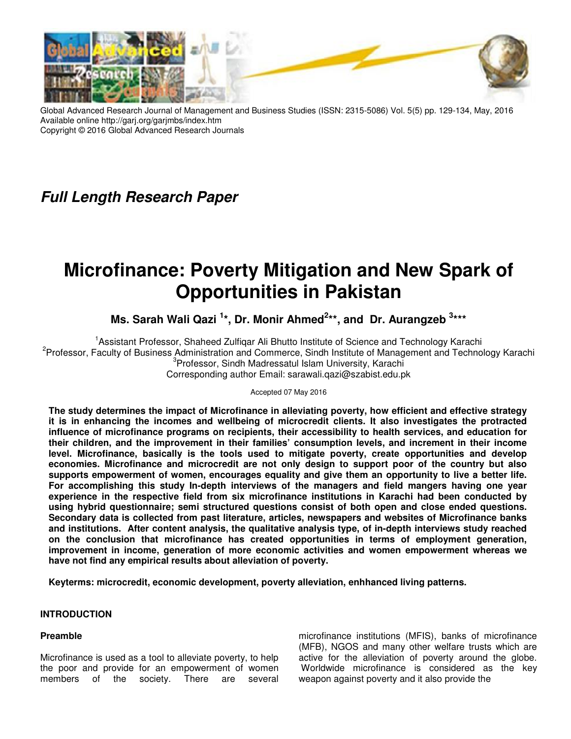

Global Advanced Research Journal of Management and Business Studies (ISSN: 2315-5086) Vol. 5(5) pp. 129-134, May, 2016 Available online http://garj.org/garjmbs/index.htm Copyright © 2016 Global Advanced Research Journals

# **Full Length Research Paper**

# **Microfinance: Poverty Mitigation and New Spark of Opportunities in Pakistan**

Ms. Sarah Wali Qazi<sup>1\*</sup>, Dr. Monir Ahmed<sup>2\*\*</sup>, and Dr. Aurangzeb<sup>3\*\*\*</sup>

<sup>1</sup> Assistant Professor, Shaheed Zulfiqar Ali Bhutto Institute of Science and Technology Karachi <sup>2</sup>Professor, Faculty of Business Administration and Commerce, Sindh Institute of Management and Technology Karachi <sup>3</sup>Professor, Sindh Madressatul Islam University, Karachi Corresponding author Email: sarawali.qazi@szabist.edu.pk

Accepted 07 May 2016

**The study determines the impact of Microfinance in alleviating poverty, how efficient and effective strategy it is in enhancing the incomes and wellbeing of microcredit clients. It also investigates the protracted influence of microfinance programs on recipients, their accessibility to health services, and education for their children, and the improvement in their families' consumption levels, and increment in their income level. Microfinance, basically is the tools used to mitigate poverty, create opportunities and develop economies. Microfinance and microcredit are not only design to support poor of the country but also supports empowerment of women, encourages equality and give them an opportunity to live a better life. For accomplishing this study In-depth interviews of the managers and field mangers having one year experience in the respective field from six microfinance institutions in Karachi had been conducted by using hybrid questionnaire; semi structured questions consist of both open and close ended questions. Secondary data is collected from past literature, articles, newspapers and websites of Microfinance banks and institutions. After content analysis, the qualitative analysis type, of in-depth interviews study reached on the conclusion that microfinance has created opportunities in terms of employment generation, improvement in income, generation of more economic activities and women empowerment whereas we have not find any empirical results about alleviation of poverty.** 

**Keyterms: microcredit, economic development, poverty alleviation, enhhanced living patterns.** 

# **INTRODUCTION**

# **Preamble**

Microfinance is used as a tool to alleviate poverty, to help the poor and provide for an empowerment of women members of the society. There are several

microfinance institutions (MFIS), banks of microfinance (MFB), NGOS and many other welfare trusts which are active for the alleviation of poverty around the globe. Worldwide microfinance is considered as the key weapon against poverty and it also provide the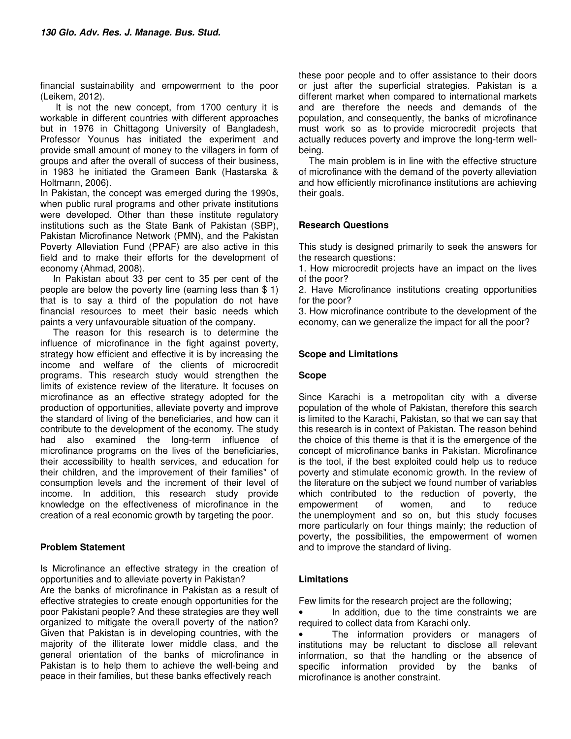financial sustainability and empowerment to the poor (Leikem, 2012).

 It is not the new concept, from 1700 century it is workable in different countries with different approaches but in 1976 in Chittagong University of Bangladesh, Professor Younus has initiated the experiment and provide small amount of money to the villagers in form of groups and after the overall of success of their business, in 1983 he initiated the Grameen Bank (Hastarska & Holtmann, 2006).

In Pakistan, the concept was emerged during the 1990s, when public rural programs and other private institutions were developed. Other than these institute regulatory institutions such as the State Bank of Pakistan (SBP), Pakistan Microfinance Network (PMN), and the Pakistan Poverty Alleviation Fund (PPAF) are also active in this field and to make their efforts for the development of economy (Ahmad, 2008).

 In Pakistan about 33 per cent to 35 per cent of the people are below the poverty line (earning less than \$ 1) that is to say a third of the population do not have financial resources to meet their basic needs which paints a very unfavourable situation of the company.

 The reason for this research is to determine the influence of microfinance in the fight against poverty, strategy how efficient and effective it is by increasing the income and welfare of the clients of microcredit programs. This research study would strengthen the limits of existence review of the literature. It focuses on microfinance as an effective strategy adopted for the production of opportunities, alleviate poverty and improve the standard of living of the beneficiaries, and how can it contribute to the development of the economy. The study had also examined the long-term influence of microfinance programs on the lives of the beneficiaries, their accessibility to health services, and education for their children, and the improvement of their families" of consumption levels and the increment of their level of income. In addition, this research study provide knowledge on the effectiveness of microfinance in the creation of a real economic growth by targeting the poor.

#### **Problem Statement**

Is Microfinance an effective strategy in the creation of opportunities and to alleviate poverty in Pakistan?

Are the banks of microfinance in Pakistan as a result of effective strategies to create enough opportunities for the poor Pakistani people? And these strategies are they well organized to mitigate the overall poverty of the nation? Given that Pakistan is in developing countries, with the majority of the illiterate lower middle class, and the general orientation of the banks of microfinance in Pakistan is to help them to achieve the well-being and peace in their families, but these banks effectively reach

these poor people and to offer assistance to their doors or just after the superficial strategies. Pakistan is a different market when compared to international markets and are therefore the needs and demands of the population, and consequently, the banks of microfinance must work so as to provide microcredit projects that actually reduces poverty and improve the long-term wellbeing.

 The main problem is in line with the effective structure of microfinance with the demand of the poverty alleviation and how efficiently microfinance institutions are achieving their goals.

#### **Research Questions**

This study is designed primarily to seek the answers for the research questions:

1. How microcredit projects have an impact on the lives of the poor?

2. Have Microfinance institutions creating opportunities for the poor?

3. How microfinance contribute to the development of the economy, can we generalize the impact for all the poor?

#### **Scope and Limitations**

#### **Scope**

Since Karachi is a metropolitan city with a diverse population of the whole of Pakistan, therefore this search is limited to the Karachi, Pakistan, so that we can say that this research is in context of Pakistan. The reason behind the choice of this theme is that it is the emergence of the concept of microfinance banks in Pakistan. Microfinance is the tool, if the best exploited could help us to reduce poverty and stimulate economic growth. In the review of the literature on the subject we found number of variables which contributed to the reduction of poverty, the empowerment of women, and to reduce the unemployment and so on, but this study focuses more particularly on four things mainly; the reduction of poverty, the possibilities, the empowerment of women and to improve the standard of living.

#### **Limitations**

Few limits for the research project are the following;

In addition, due to the time constraints we are required to collect data from Karachi only.

• The information providers or managers of institutions may be reluctant to disclose all relevant information, so that the handling or the absence of specific information provided by the banks of microfinance is another constraint.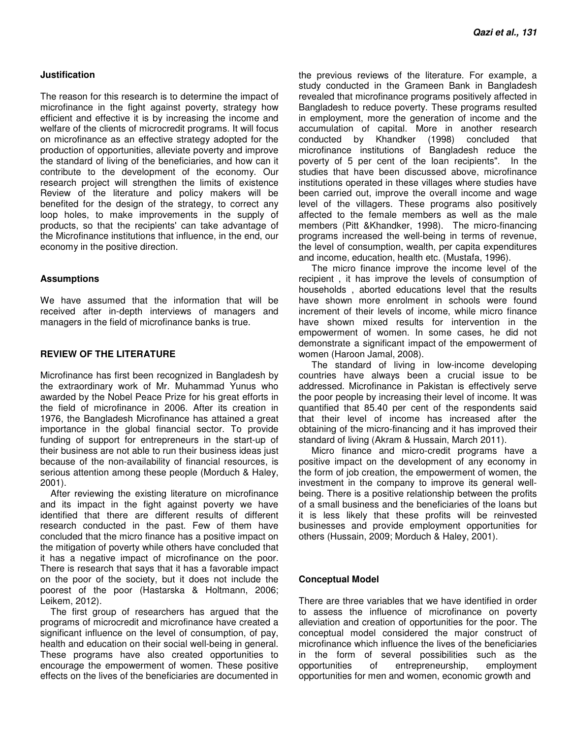#### **Justification**

The reason for this research is to determine the impact of microfinance in the fight against poverty, strategy how efficient and effective it is by increasing the income and welfare of the clients of microcredit programs. It will focus on microfinance as an effective strategy adopted for the production of opportunities, alleviate poverty and improve the standard of living of the beneficiaries, and how can it contribute to the development of the economy. Our research project will strengthen the limits of existence Review of the literature and policy makers will be benefited for the design of the strategy, to correct any loop holes, to make improvements in the supply of products, so that the recipients' can take advantage of the Microfinance institutions that influence, in the end, our economy in the positive direction.

#### **Assumptions**

We have assumed that the information that will be received after in-depth interviews of managers and managers in the field of microfinance banks is true.

#### **REVIEW OF THE LITERATURE**

Microfinance has first been recognized in Bangladesh by the extraordinary work of Mr. Muhammad Yunus who awarded by the Nobel Peace Prize for his great efforts in the field of microfinance in 2006. After its creation in 1976, the Bangladesh Microfinance has attained a great importance in the global financial sector. To provide funding of support for entrepreneurs in the start-up of their business are not able to run their business ideas just because of the non-availability of financial resources, is serious attention among these people (Morduch & Haley, 2001).

 After reviewing the existing literature on microfinance and its impact in the fight against poverty we have identified that there are different results of different research conducted in the past. Few of them have concluded that the micro finance has a positive impact on the mitigation of poverty while others have concluded that it has a negative impact of microfinance on the poor. There is research that says that it has a favorable impact on the poor of the society, but it does not include the poorest of the poor (Hastarska & Holtmann, 2006; Leikem, 2012).

 The first group of researchers has argued that the programs of microcredit and microfinance have created a significant influence on the level of consumption, of pay, health and education on their social well-being in general. These programs have also created opportunities to encourage the empowerment of women. These positive effects on the lives of the beneficiaries are documented in

the previous reviews of the literature. For example, a study conducted in the Grameen Bank in Bangladesh revealed that microfinance programs positively affected in Bangladesh to reduce poverty. These programs resulted in employment, more the generation of income and the accumulation of capital. More in another research conducted by Khandker (1998) concluded that microfinance institutions of Bangladesh reduce the poverty of 5 per cent of the loan recipients". In the studies that have been discussed above, microfinance institutions operated in these villages where studies have been carried out, improve the overall income and wage level of the villagers. These programs also positively affected to the female members as well as the male members (Pitt &Khandker, 1998). The micro-financing programs increased the well-being in terms of revenue, the level of consumption, wealth, per capita expenditures and income, education, health etc. (Mustafa, 1996).

 The micro finance improve the income level of the recipient , it has improve the levels of consumption of households , aborted educations level that the results have shown more enrolment in schools were found increment of their levels of income, while micro finance have shown mixed results for intervention in the empowerment of women. In some cases, he did not demonstrate a significant impact of the empowerment of women (Haroon Jamal, 2008).

 The standard of living in low-income developing countries have always been a crucial issue to be addressed. Microfinance in Pakistan is effectively serve the poor people by increasing their level of income. It was quantified that 85.40 per cent of the respondents said that their level of income has increased after the obtaining of the micro-financing and it has improved their standard of living (Akram & Hussain, March 2011).

 Micro finance and micro-credit programs have a positive impact on the development of any economy in the form of job creation, the empowerment of women, the investment in the company to improve its general wellbeing. There is a positive relationship between the profits of a small business and the beneficiaries of the loans but it is less likely that these profits will be reinvested businesses and provide employment opportunities for others (Hussain, 2009; Morduch & Haley, 2001).

#### **Conceptual Model**

There are three variables that we have identified in order to assess the influence of microfinance on poverty alleviation and creation of opportunities for the poor. The conceptual model considered the major construct of microfinance which influence the lives of the beneficiaries in the form of several possibilities such as the opportunities of entrepreneurship, employment opportunities for men and women, economic growth and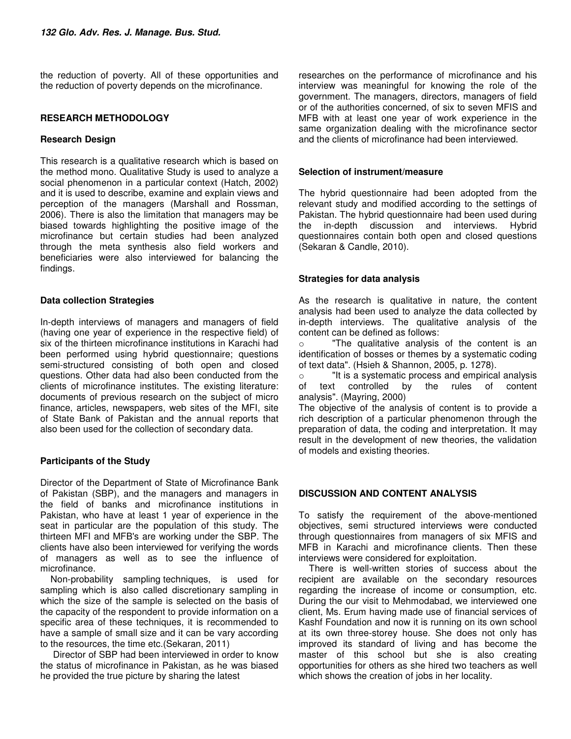the reduction of poverty. All of these opportunities and the reduction of poverty depends on the microfinance.

#### **RESEARCH METHODOLOGY**

#### **Research Design**

This research is a qualitative research which is based on the method mono. Qualitative Study is used to analyze a social phenomenon in a particular context (Hatch, 2002) and it is used to describe, examine and explain views and perception of the managers (Marshall and Rossman, 2006). There is also the limitation that managers may be biased towards highlighting the positive image of the microfinance but certain studies had been analyzed through the meta synthesis also field workers and beneficiaries were also interviewed for balancing the findings.

#### **Data collection Strategies**

In-depth interviews of managers and managers of field (having one year of experience in the respective field) of six of the thirteen microfinance institutions in Karachi had been performed using hybrid questionnaire; questions semi-structured consisting of both open and closed questions. Other data had also been conducted from the clients of microfinance institutes. The existing literature: documents of previous research on the subject of micro finance, articles, newspapers, web sites of the MFI, site of State Bank of Pakistan and the annual reports that also been used for the collection of secondary data.

# **Participants of the Study**

Director of the Department of State of Microfinance Bank of Pakistan (SBP), and the managers and managers in the field of banks and microfinance institutions in Pakistan, who have at least 1 year of experience in the seat in particular are the population of this study. The thirteen MFI and MFB's are working under the SBP. The clients have also been interviewed for verifying the words of managers as well as to see the influence of microfinance.

 Non-probability sampling techniques, is used for sampling which is also called discretionary sampling in which the size of the sample is selected on the basis of the capacity of the respondent to provide information on a specific area of these techniques, it is recommended to have a sample of small size and it can be vary according to the resources, the time etc.(Sekaran, 2011)

 Director of SBP had been interviewed in order to know the status of microfinance in Pakistan, as he was biased he provided the true picture by sharing the latest

researches on the performance of microfinance and his interview was meaningful for knowing the role of the government. The managers, directors, managers of field or of the authorities concerned, of six to seven MFIS and MFB with at least one year of work experience in the same organization dealing with the microfinance sector and the clients of microfinance had been interviewed.

#### **Selection of instrument/measure**

The hybrid questionnaire had been adopted from the relevant study and modified according to the settings of Pakistan. The hybrid questionnaire had been used during the in-depth discussion and interviews. Hybrid questionnaires contain both open and closed questions (Sekaran & Candle, 2010).

#### **Strategies for data analysis**

As the research is qualitative in nature, the content analysis had been used to analyze the data collected by in-depth interviews. The qualitative analysis of the content can be defined as follows:

o "The qualitative analysis of the content is an identification of bosses or themes by a systematic coding of text data". (Hsieh & Shannon, 2005, p. 1278).

o "It is a systematic process and empirical analysis of text controlled by the rules of content analysis". (Mayring, 2000)

The objective of the analysis of content is to provide a rich description of a particular phenomenon through the preparation of data, the coding and interpretation. It may result in the development of new theories, the validation of models and existing theories.

# **DISCUSSION AND CONTENT ANALYSIS**

To satisfy the requirement of the above-mentioned objectives, semi structured interviews were conducted through questionnaires from managers of six MFIS and MFB in Karachi and microfinance clients. Then these interviews were considered for exploitation.

 There is well-written stories of success about the recipient are available on the secondary resources regarding the increase of income or consumption, etc. During the our visit to Mehmodabad, we interviewed one client, Ms. Erum having made use of financial services of Kashf Foundation and now it is running on its own school at its own three-storey house. She does not only has improved its standard of living and has become the master of this school but she is also creating opportunities for others as she hired two teachers as well which shows the creation of jobs in her locality.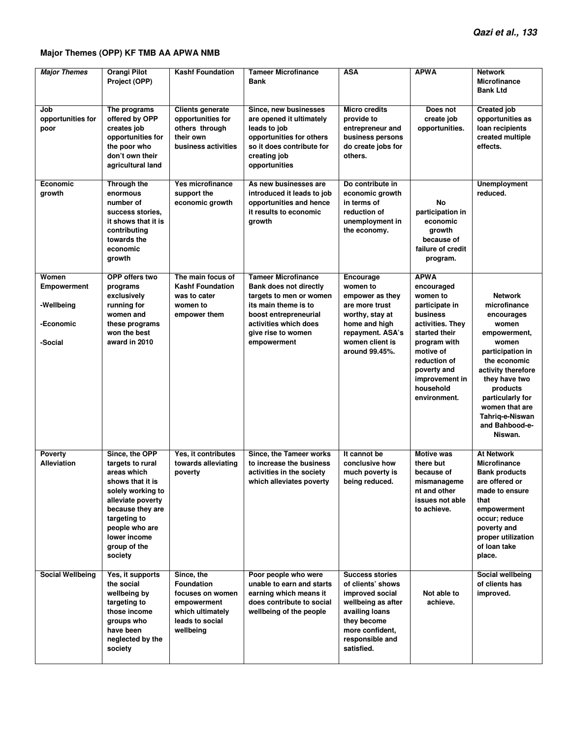# **Major Themes (OPP) KF TMB AA APWA NMB**

| <b>Major Themes</b>                                               | <b>Orangi Pilot</b><br>Project (OPP)                                                                                                                                                                             | <b>Kashf Foundation</b>                                                                                                | <b>Tameer Microfinance</b><br><b>Bank</b>                                                                                                                                                      | <b>ASA</b>                                                                                                                                                                | <b>APWA</b>                                                                                                                                                                                                         | <b>Network</b><br><b>Microfinance</b><br><b>Bank Ltd</b>                                                                                                                                                                                                    |
|-------------------------------------------------------------------|------------------------------------------------------------------------------------------------------------------------------------------------------------------------------------------------------------------|------------------------------------------------------------------------------------------------------------------------|------------------------------------------------------------------------------------------------------------------------------------------------------------------------------------------------|---------------------------------------------------------------------------------------------------------------------------------------------------------------------------|---------------------------------------------------------------------------------------------------------------------------------------------------------------------------------------------------------------------|-------------------------------------------------------------------------------------------------------------------------------------------------------------------------------------------------------------------------------------------------------------|
| Job<br>opportunities for<br>poor                                  | The programs<br>offered by OPP<br>creates job<br>opportunities for<br>the poor who<br>don't own their<br>agricultural land                                                                                       | <b>Clients generate</b><br>opportunities for<br>others through<br>their own<br>business activities                     | Since, new businesses<br>are opened it ultimately<br>leads to job<br>opportunities for others<br>so it does contribute for<br>creating job<br>opportunities                                    | <b>Micro credits</b><br>provide to<br>entrepreneur and<br>business persons<br>do create jobs for<br>others.                                                               | Does not<br>create job<br>opportunities.                                                                                                                                                                            | <b>Created job</b><br>opportunities as<br>loan recipients<br>created multiple<br>effects.                                                                                                                                                                   |
| Economic<br>growth                                                | Through the<br>enormous<br>number of<br>success stories,<br>it shows that it is<br>contributing<br>towards the<br>economic<br>growth                                                                             | Yes microfinance<br>support the<br>economic growth                                                                     | As new businesses are<br>introduced it leads to job<br>opportunities and hence<br>it results to economic<br>growth                                                                             | Do contribute in<br>economic growth<br>in terms of<br>reduction of<br>unemployment in<br>the economy.                                                                     | No<br>participation in<br>economic<br>growth<br>because of<br>failure of credit<br>program.                                                                                                                         | <b>Unemployment</b><br>reduced.                                                                                                                                                                                                                             |
| Women<br><b>Empowerment</b><br>-Wellbeing<br>-Economic<br>-Social | OPP offers two<br>programs<br>exclusively<br>running for<br>women and<br>these programs<br>won the best<br>award in 2010                                                                                         | The main focus of<br><b>Kashf Foundation</b><br>was to cater<br>women to<br>empower them                               | <b>Tameer Microfinance</b><br>Bank does not directly<br>targets to men or women<br>its main theme is to<br>boost entrepreneurial<br>activities which does<br>give rise to women<br>empowerment | Encourage<br>women to<br>empower as they<br>are more trust<br>worthy, stay at<br>home and high<br>repayment. ASA's<br>women client is<br>around 99.45%.                   | <b>APWA</b><br>encouraged<br>women to<br>participate in<br>business<br>activities. They<br>started their<br>program with<br>motive of<br>reduction of<br>poverty and<br>improvement in<br>household<br>environment. | <b>Network</b><br>microfinance<br>encourages<br>women<br>empowerment,<br>women<br>participation in<br>the economic<br>activity therefore<br>they have two<br>products<br>particularly for<br>women that are<br>Tahriq-e-Niswan<br>and Bahbood-e-<br>Niswan. |
| Poverty<br><b>Alleviation</b>                                     | Since, the OPP<br>targets to rural<br>areas which<br>shows that it is<br>solely working to<br>alleviate poverty<br>because they are<br>targeting to<br>people who are<br>lower income<br>group of the<br>society | Yes, it contributes<br>towards alleviating<br>poverty                                                                  | Since, the Tameer works<br>to increase the business<br>activities in the society<br>which alleviates poverty                                                                                   | It cannot be<br>conclusive how<br>much poverty is<br>being reduced.                                                                                                       | <b>Motive was</b><br>there but<br>because of<br>mismanageme<br>nt and other<br>issues not able<br>to achieve.                                                                                                       | <b>At Network</b><br><b>Microfinance</b><br><b>Bank products</b><br>are offered or<br>made to ensure<br>that<br>empowerment<br>occur; reduce<br>poverty and<br>proper utilization<br>of loan take<br>place.                                                 |
| <b>Social Wellbeing</b>                                           | Yes, it supports<br>the social<br>wellbeing by<br>targeting to<br>those income<br>groups who<br>have been<br>neglected by the<br>society                                                                         | Since, the<br><b>Foundation</b><br>focuses on women<br>empowerment<br>which ultimately<br>leads to social<br>wellbeing | Poor people who were<br>unable to earn and starts<br>earning which means it<br>does contribute to social<br>wellbeing of the people                                                            | <b>Success stories</b><br>of clients' shows<br>improved social<br>wellbeing as after<br>availing loans<br>they become<br>more confident,<br>responsible and<br>satisfied. | Not able to<br>achieve.                                                                                                                                                                                             | Social wellbeing<br>of clients has<br>improved.                                                                                                                                                                                                             |